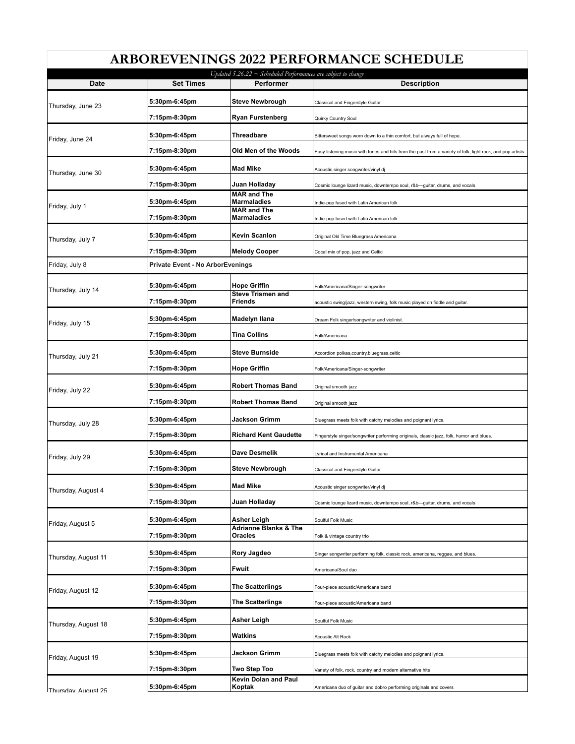| Updated 5.26.22 $\sim$ Scheduled Performances are subject to change |                                         |                                                 |                                                                                                            |  |
|---------------------------------------------------------------------|-----------------------------------------|-------------------------------------------------|------------------------------------------------------------------------------------------------------------|--|
| Date                                                                | <b>Set Times</b>                        | Performer                                       | <b>Description</b>                                                                                         |  |
| Thursday, June 23                                                   | 5:30pm-6:45pm                           | <b>Steve Newbrough</b>                          | Classical and Fingerstyle Guitar                                                                           |  |
|                                                                     | 7:15pm-8:30pm                           | <b>Ryan Furstenberg</b>                         | Quirky Country Soul                                                                                        |  |
| Friday, June 24                                                     | 5:30pm-6:45pm                           | Threadbare                                      | Bittersweet songs worn down to a thin comfort, but always full of hope.                                    |  |
|                                                                     | 7:15pm-8:30pm                           | Old Men of the Woods                            | Easy listening music with tunes and hits from the past from a variety of folk, light rock, and pop artists |  |
| Thursday, June 30                                                   | 5:30pm-6:45pm                           | <b>Mad Mike</b>                                 | Acoustic singer songwriter/vinyl dj                                                                        |  |
|                                                                     | 7:15pm-8:30pm                           | Juan Holladay                                   | Cosmic lounge lizard music, downtempo soul, r&b-guitar, drums, and vocals                                  |  |
| Friday, July 1                                                      | 5:30pm-6:45pm                           | <b>MAR and The</b><br><b>Marmaladies</b>        | Indie-pop fused with Latin American folk                                                                   |  |
|                                                                     | 7:15pm-8:30pm                           | <b>MAR and The</b><br><b>Marmaladies</b>        | Indie-pop fused with Latin American folk                                                                   |  |
|                                                                     | 5:30pm-6:45pm                           | Kevin Scanlon                                   | Original Old Time Bluegrass Americana                                                                      |  |
| Thursday, July 7                                                    | 7:15pm-8:30pm                           | <b>Melody Cooper</b>                            | Cocal mix of pop, jazz and Celtic                                                                          |  |
| Friday, July 8                                                      | <b>Private Event - No ArborEvenings</b> |                                                 |                                                                                                            |  |
|                                                                     |                                         |                                                 |                                                                                                            |  |
| Thursday, July 14                                                   | 5:30pm-6:45pm                           | <b>Hope Griffin</b><br><b>Steve Trismen and</b> | Folk/Americana/Singer-songwriter                                                                           |  |
|                                                                     | 7:15pm-8:30pm                           | <b>Friends</b>                                  | acoustic swing/jazz, western swing, folk music played on fiddle and guitar.                                |  |
| Friday, July 15                                                     | 5:30pm-6:45pm                           | Madelyn Ilana                                   | Dream Folk singer/songwriter and violinist                                                                 |  |
|                                                                     | 7:15pm-8:30pm                           | <b>Tina Collins</b>                             | Folk/Americana                                                                                             |  |
| Thursday, July 21                                                   | 5:30pm-6:45pm                           | <b>Steve Burnside</b>                           | Accordion polkas,country,bluegrass,celtic                                                                  |  |
|                                                                     | 7:15pm-8:30pm                           | <b>Hope Griffin</b>                             | Folk/Americana/Singer-songwriter                                                                           |  |
| Friday, July 22                                                     | 5:30pm-6:45pm                           | <b>Robert Thomas Band</b>                       | Original smooth jazz                                                                                       |  |
|                                                                     | 7:15pm-8:30pm                           | <b>Robert Thomas Band</b>                       | Original smooth jazz                                                                                       |  |
| Thursday, July 28                                                   | 5:30pm-6:45pm                           | Jackson Grimm                                   | Bluegrass meets folk with catchy melodies and poignant lyrics.                                             |  |
|                                                                     | 7:15pm-8:30pm                           | <b>Richard Kent Gaudette</b>                    | Fingerstyle singer/songwriter performing originals, classic jazz, folk, humor and blues.                   |  |
| Friday, July 29                                                     | 5:30pm-6:45pm                           | Dave Desmelik                                   | Lyrical and Instrumental Americana                                                                         |  |
|                                                                     | 7:15pm-8:30pm                           | <b>Steve Newbrough</b>                          | Classical and Fingerstyle Guitar                                                                           |  |
| Thursday, August 4                                                  |                                         |                                                 |                                                                                                            |  |
|                                                                     | 5:30pm-6:45pm                           | <b>Mad Mike</b>                                 | Acoustic singer songwriter/vinyl dj                                                                        |  |
| Friday, August 5                                                    | 7:15pm-8:30pm                           | Juan Holladay                                   | Cosmic lounge lizard music, downtempo soul, r&b-quitar, drums, and vocals                                  |  |
|                                                                     | 5:30pm-6:45pm                           | Asher Leigh<br><b>Adrianne Blanks &amp; The</b> | Soulful Folk Music                                                                                         |  |
|                                                                     | 7:15pm-8:30pm                           | Oracles                                         | Folk & vintage country trio                                                                                |  |
| Thursday, August 11                                                 | 5:30pm-6:45pm                           | Rory Jagdeo                                     | Singer songwriter performing folk, classic rock, americana, reggae, and blues.                             |  |
|                                                                     | 7:15pm-8:30pm                           | Fwuit                                           | Americana/Soul duo                                                                                         |  |
| Friday, August 12                                                   | 5:30pm-6:45pm                           | <b>The Scatterlings</b>                         | Four-piece acoustic/Americana band                                                                         |  |
|                                                                     | 7:15pm-8:30pm                           | <b>The Scatterlings</b>                         | Four-piece acoustic/Americana band                                                                         |  |
| Thursday, August 18                                                 | 5:30pm-6:45pm                           | Asher Leigh                                     | Soulful Folk Music                                                                                         |  |
|                                                                     | 7:15pm-8:30pm                           | Watkins                                         | Acoustic Alt Rock                                                                                          |  |
|                                                                     | 5:30pm-6:45pm                           | Jackson Grimm                                   | Bluegrass meets folk with catchy melodies and poignant lyrics.                                             |  |
| Friday, August 19                                                   | 7:15pm-8:30pm                           | Two Step Too                                    |                                                                                                            |  |
|                                                                     |                                         | Kevin Dolan and Paul                            | Variety of folk, rock, country and modern alternative hits                                                 |  |
| Thursdav August 25                                                  | 5:30pm-6:45pm                           | Koptak                                          | Americana duo of guitar and dobro performing originals and covers                                          |  |